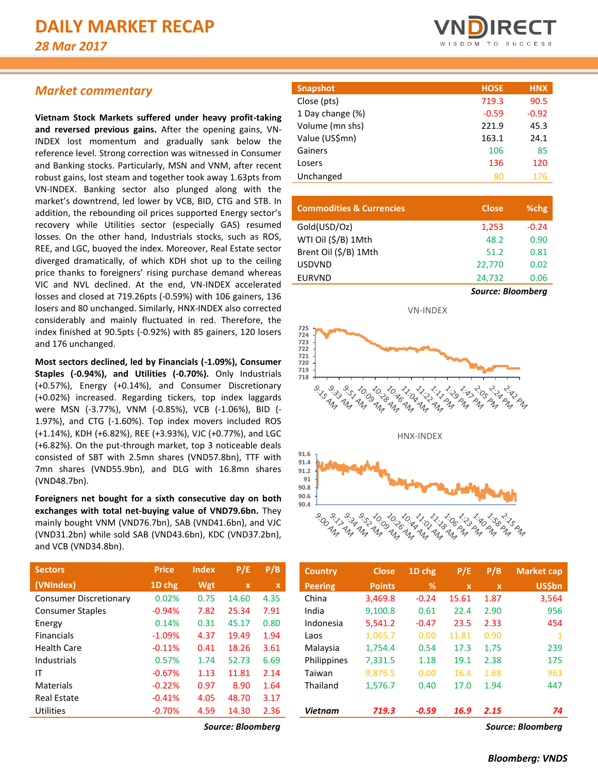# *Market commentary*

**Vietnam Stock Markets suffered under heavy profit-taking and reversed previous gains.** After the opening gains, VN-INDEX lost momentum and gradually sank below the reference level. Strong correction was witnessed in Consumer and Banking stocks. Particularly, MSN and VNM, after recent robust gains, lost steam and together took away 1.63pts from VN-INDEX. Banking sector also plunged along with the market's downtrend, led lower by VCB, BID, CTG and STB. In addition, the rebounding oil prices supported Energy sector's recovery while Utilities sector (especially GAS) resumed losses. On the other hand, Industrials stocks, such as ROS, REE, and LGC, buoyed the index. Moreover, Real Estate sector diverged dramatically, of which KDH shot up to the ceiling price thanks to foreigners' rising purchase demand whereas VIC and NVL declined. At the end, VN-INDEX accelerated losses and closed at 719.26pts (-0.59%) with 106 gainers, 136 losers and 80 unchanged. Similarly, HNX-INDEX also corrected considerably and mainly fluctuated in red. Therefore, the index finished at 90.5pts (-0.92%) with 85 gainers, 120 losers and 176 unchanged.

**Most sectors declined, led by Financials (-1.09%), Consumer Staples (-0.94%), and Utilities (-0.70%).** Only Industrials (+0.57%), Energy (+0.14%), and Consumer Discretionary (+0.02%) increased. Regarding tickers, top index laggards were MSN (-3.77%), VNM (-0.85%), VCB (-1.06%), BID (- 1.97%), and CTG (-1.60%). Top index movers included ROS (+1.14%), KDH (+6.82%), REE (+3.93%), VJC (+0.77%), and LGC (+6.82%). On the put-through market, top 3 noticeable deals consisted of SBT with 2.5mn shares (VND57.8bn), TTF with 7mn shares (VND55.9bn), and DLG with 16.8mn shares (VND48.7bn).

**Foreigners net bought for a sixth consecutive day on both exchanges with total net-buying value of VND79.6bn.** They mainly bought VNM (VND76.7bn), SAB (VND41.6bn), and VJC (VND31.2bn) while sold SAB (VND43.6bn), KDC (VND37.2bn), and VCB (VND34.8bn).

| <b>Sectors</b>                | <b>Price</b> | <b>Index</b> | P/E   | P/B         |
|-------------------------------|--------------|--------------|-------|-------------|
| (VNIndex)                     | 1D chg       | Wgt          | x     | $\mathbf x$ |
| <b>Consumer Discretionary</b> | 0.02%        | 0.75         | 14.60 | 4.35        |
| <b>Consumer Staples</b>       | $-0.94%$     | 7.82         | 25.34 | 7.91        |
| Energy                        | 0.14%        | 0.31         | 45.17 | 0.80        |
| <b>Financials</b>             | $-1.09%$     | 4.37         | 19.49 | 1.94        |
| <b>Health Care</b>            | $-0.11%$     | 0.41         | 18.26 | 3.61        |
| Industrials                   | 0.57%        | 1.74         | 52.73 | 6.69        |
| ΙT                            | $-0.67%$     | 1.13         | 11.81 | 2.14        |
| Materials                     | $-0.22%$     | 0.97         | 8.90  | 1.64        |
| <b>Real Estate</b>            | $-0.41%$     | 4.05         | 48.70 | 3.17        |
| Utilities                     | $-0.70%$     | 4.59         | 14.30 | 2.36        |



| <b>Snapshot</b>  | <b>HOSE</b> | <b>HNX</b> |
|------------------|-------------|------------|
| Close (pts)      | 719.3       | 90.5       |
| 1 Day change (%) | $-0.59$     | $-0.92$    |
| Volume (mn shs)  | 221.9       | 45.3       |
| Value (US\$mn)   | 163.1       | 24.1       |
| Gainers          | 106         | 85         |
| Losers           | 136         | 120        |
| Unchanged        | 80          | 176        |
|                  |             |            |

| <b>Commodities &amp; Currencies</b> | <b>Close</b>             | %chg    |
|-------------------------------------|--------------------------|---------|
| Gold(USD/Oz)                        | 1,253                    | $-0.24$ |
| WTI Oil (\$/B) 1Mth                 | 48.2                     | 0.90    |
| Brent Oil (\$/B) 1Mth               | 51.2                     | 0.81    |
| <b>USDVND</b>                       | 22.770                   | 0.02    |
| <b>EURVND</b>                       | 24,732                   | 0.06    |
|                                     | <b>Source: Bloomberg</b> |         |



| <b>Sectors</b>                | <b>Price</b> | <b>Index</b> | P/E          | P/B         | <b>Country</b> | <b>Close</b>  | $1D$ chg | P/E          | P/B          | Market cap    |
|-------------------------------|--------------|--------------|--------------|-------------|----------------|---------------|----------|--------------|--------------|---------------|
| (VNIndex)                     | 1D chg       | Wgt          | $\mathbf{x}$ | $\mathbf x$ | <b>Peering</b> | <b>Points</b> | %        | $\mathbf{x}$ | $\mathbf{x}$ | <b>US\$bn</b> |
| <b>Consumer Discretionary</b> | 0.02%        | 0.75         | 14.60        | 4.35        | China          | 3,469.8       | $-0.24$  | 15.61        | 1.87         | 3,564         |
| <b>Consumer Staples</b>       | $-0.94%$     | 7.82         | 25.34        | 7.91        | India          | 9,100.8       | 0.61     | 22.4         | 2.90         | 956           |
| Energy                        | 0.14%        | 0.31         | 45.17        | 0.80        | Indonesia      | 5,541.2       | $-0.47$  | 23.5         | 2.33         | 454           |
| <b>Financials</b>             | $-1.09%$     | 4.37         | 19.49        | 1.94        | Laos           | 1,065.7       | 0.00     | 11.81        | 0.90         | 1             |
| <b>Health Care</b>            | $-0.11%$     | 0.41         | 18.26        | 3.61        | Malaysia       | 1,754.4       | 0.54     | 17.3         | 1.75         | 239           |
| Industrials                   | 0.57%        | 1.74         | 52.73        | 6.69        | Philippines    | 7,331.5       | 1.18     | 19.1         | 2.38         | 175           |
| ΙT                            | $-0.67%$     | 1.13         | 11.81        | 2.14        | Taiwan         | 9,876.5       | 0.00     | 16.4         | 1.68         | 963           |
| Materials                     | $-0.22%$     | 0.97         | 8.90         | 1.64        | Thailand       | 1,576.7       | 0.40     | 17.0         | 1.94         | 447           |
| <b>Real Estate</b>            | $-0.41%$     | 4.05         | 48.70        | 3.17        |                |               |          |              |              |               |
| Utilities                     | $-0.70%$     | 4.59         | 14.30        | 2.36        | <b>Vietnam</b> | 719.3         | $-0.59$  | 16.9         | 2.15         | 74            |
|                               |              |              | $ -$         |             |                |               |          |              |              |               |

*Source: Bloomberg Source: Bloomberg*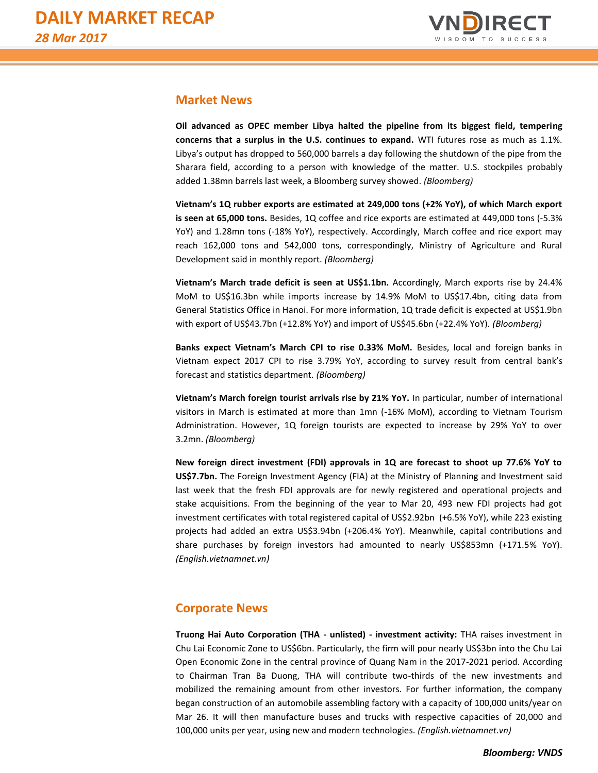

# **Market News**

**Oil advanced as OPEC member Libya halted the pipeline from its biggest field, tempering concerns that a surplus in the U.S. continues to expand.** WTI futures rose as much as 1.1%. Libya's output has dropped to 560,000 barrels a day following the shutdown of the pipe from the Sharara field, according to a person with knowledge of the matter. U.S. stockpiles probably added 1.38mn barrels last week, a Bloomberg survey showed. *(Bloomberg)*

**Vietnam's 1Q rubber exports are estimated at 249,000 tons (+2% YoY), of which March export is seen at 65,000 tons.** Besides, 1Q coffee and rice exports are estimated at 449,000 tons (-5.3% YoY) and 1.28mn tons (-18% YoY), respectively. Accordingly, March coffee and rice export may reach 162,000 tons and 542,000 tons, correspondingly, Ministry of Agriculture and Rural Development said in monthly report. *(Bloomberg)*

**Vietnam's March trade deficit is seen at US\$1.1bn.** Accordingly, March exports rise by 24.4% MoM to US\$16.3bn while imports increase by 14.9% MoM to US\$17.4bn, citing data from General Statistics Office in Hanoi. For more information, 1Q trade deficit is expected at US\$1.9bn with export of US\$43.7bn (+12.8% YoY) and import of US\$45.6bn (+22.4% YoY). *(Bloomberg)*

**Banks expect Vietnam's March CPI to rise 0.33% MoM.** Besides, local and foreign banks in Vietnam expect 2017 CPI to rise 3.79% YoY, according to survey result from central bank's forecast and statistics department. *(Bloomberg)*

**Vietnam's March foreign tourist arrivals rise by 21% YoY.** In particular, number of international visitors in March is estimated at more than 1mn (-16% MoM), according to Vietnam Tourism Administration. However, 1Q foreign tourists are expected to increase by 29% YoY to over 3.2mn. *(Bloomberg)*

**New foreign direct investment (FDI) approvals in 1Q are forecast to shoot up 77.6% YoY to US\$7.7bn.** The Foreign Investment Agency (FIA) at the Ministry of Planning and Investment said last week that the fresh FDI approvals are for newly registered and operational projects and stake acquisitions. From the beginning of the year to Mar 20, 493 new FDI projects had got investment certificates with total registered capital of US\$2.92bn (+6.5% YoY), while 223 existing projects had added an extra US\$3.94bn (+206.4% YoY). Meanwhile, capital contributions and share purchases by foreign investors had amounted to nearly US\$853mn (+171.5% YoY). *(English.vietnamnet.vn)*

# **Corporate News**

**Truong Hai Auto Corporation (THA - unlisted) - investment activity:** THA raises investment in Chu Lai Economic Zone to US\$6bn. Particularly, the firm will pour nearly US\$3bn into the Chu Lai Open Economic Zone in the central province of Quang Nam in the 2017-2021 period. According to Chairman Tran Ba Duong, THA will contribute two-thirds of the new investments and mobilized the remaining amount from other investors. For further information, the company began construction of an automobile assembling factory with a capacity of 100,000 units/year on Mar 26. It will then manufacture buses and trucks with respective capacities of 20,000 and 100,000 units per year, using new and modern technologies. *(English.vietnamnet.vn)*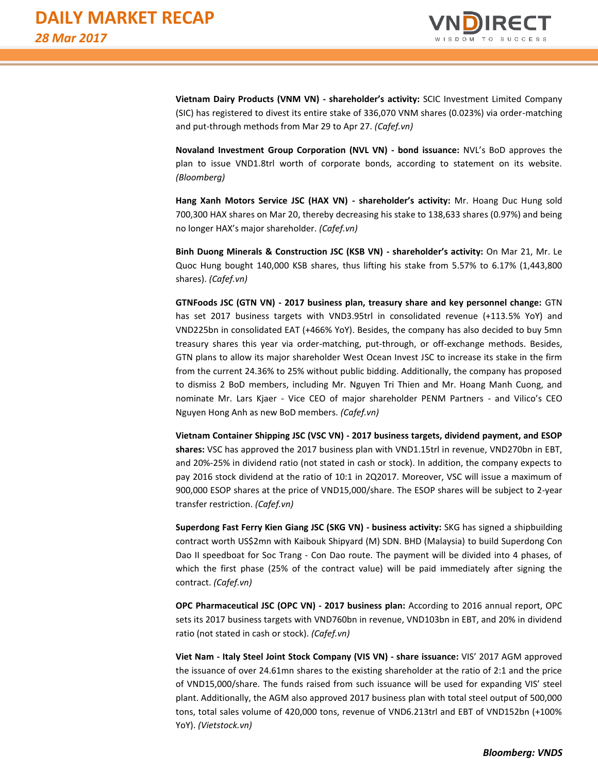

**Vietnam Dairy Products (VNM VN) - shareholder's activity:** SCIC Investment Limited Company (SIC) has registered to divest its entire stake of 336,070 VNM shares (0.023%) via order-matching and put-through methods from Mar 29 to Apr 27. *(Cafef.vn)*

**Novaland Investment Group Corporation (NVL VN) - bond issuance:** NVL's BoD approves the plan to issue VND1.8trl worth of corporate bonds, according to statement on its website. *(Bloomberg)*

**Hang Xanh Motors Service JSC (HAX VN) - shareholder's activity:** Mr. Hoang Duc Hung sold 700,300 HAX shares on Mar 20, thereby decreasing his stake to 138,633 shares (0.97%) and being no longer HAX's major shareholder. *(Cafef.vn)*

**Binh Duong Minerals & Construction JSC (KSB VN) - shareholder's activity:** On Mar 21, Mr. Le Quoc Hung bought 140,000 KSB shares, thus lifting his stake from 5.57% to 6.17% (1,443,800 shares). *(Cafef.vn)*

**GTNFoods JSC (GTN VN) - 2017 business plan, treasury share and key personnel change:** GTN has set 2017 business targets with VND3.95trl in consolidated revenue (+113.5% YoY) and VND225bn in consolidated EAT (+466% YoY). Besides, the company has also decided to buy 5mn treasury shares this year via order-matching, put-through, or off-exchange methods. Besides, GTN plans to allow its major shareholder West Ocean Invest JSC to increase its stake in the firm from the current 24.36% to 25% without public bidding. Additionally, the company has proposed to dismiss 2 BoD members, including Mr. Nguyen Tri Thien and Mr. Hoang Manh Cuong, and nominate Mr. Lars Kjaer - Vice CEO of major shareholder PENM Partners - and Vilico's CEO Nguyen Hong Anh as new BoD members. *(Cafef.vn)*

**Vietnam Container Shipping JSC (VSC VN) - 2017 business targets, dividend payment, and ESOP shares:** VSC has approved the 2017 business plan with VND1.15trl in revenue, VND270bn in EBT, and 20%-25% in dividend ratio (not stated in cash or stock). In addition, the company expects to pay 2016 stock dividend at the ratio of 10:1 in 2Q2017. Moreover, VSC will issue a maximum of 900,000 ESOP shares at the price of VND15,000/share. The ESOP shares will be subject to 2-year transfer restriction. *(Cafef.vn)*

**Superdong Fast Ferry Kien Giang JSC (SKG VN) - business activity:** SKG has signed a shipbuilding contract worth US\$2mn with Kaibouk Shipyard (M) SDN. BHD (Malaysia) to build Superdong Con Dao II speedboat for Soc Trang - Con Dao route. The payment will be divided into 4 phases, of which the first phase (25% of the contract value) will be paid immediately after signing the contract. *(Cafef.vn)*

**OPC Pharmaceutical JSC (OPC VN) - 2017 business plan:** According to 2016 annual report, OPC sets its 2017 business targets with VND760bn in revenue, VND103bn in EBT, and 20% in dividend ratio (not stated in cash or stock). *(Cafef.vn)*

**Viet Nam - Italy Steel Joint Stock Company (VIS VN) - share issuance:** VIS' 2017 AGM approved the issuance of over 24.61mn shares to the existing shareholder at the ratio of 2:1 and the price of VND15,000/share. The funds raised from such issuance will be used for expanding VIS' steel plant. Additionally, the AGM also approved 2017 business plan with total steel output of 500,000 tons, total sales volume of 420,000 tons, revenue of VND6.213trl and EBT of VND152bn (+100% YoY). *(Vietstock.vn)*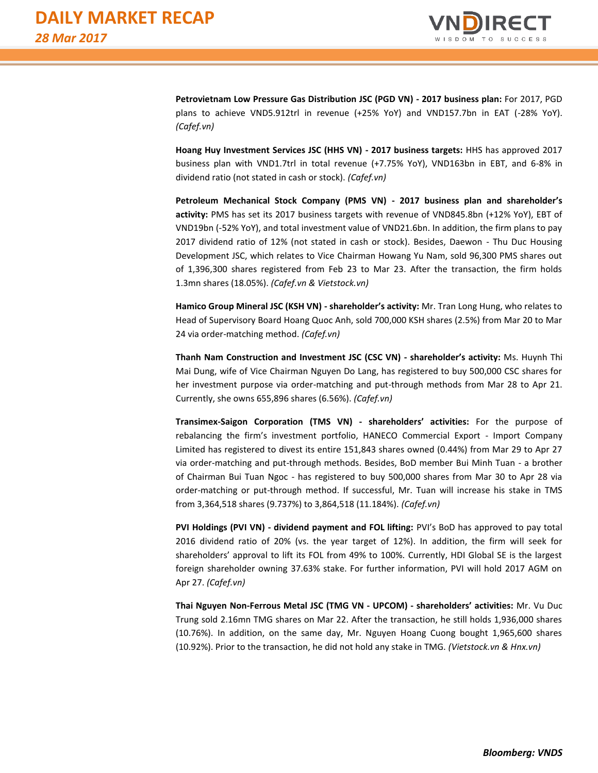

**Petrovietnam Low Pressure Gas Distribution JSC (PGD VN) - 2017 business plan:** For 2017, PGD plans to achieve VND5.912trl in revenue (+25% YoY) and VND157.7bn in EAT (-28% YoY). *(Cafef.vn)*

**Hoang Huy Investment Services JSC (HHS VN) - 2017 business targets:** HHS has approved 2017 business plan with VND1.7trl in total revenue (+7.75% YoY), VND163bn in EBT, and 6-8% in dividend ratio (not stated in cash or stock). *(Cafef.vn)* 

**Petroleum Mechanical Stock Company (PMS VN) - 2017 business plan and shareholder's activity:** PMS has set its 2017 business targets with revenue of VND845.8bn (+12% YoY), EBT of VND19bn (-52% YoY), and total investment value of VND21.6bn. In addition, the firm plans to pay 2017 dividend ratio of 12% (not stated in cash or stock). Besides, Daewon - Thu Duc Housing Development JSC, which relates to Vice Chairman Howang Yu Nam, sold 96,300 PMS shares out of 1,396,300 shares registered from Feb 23 to Mar 23. After the transaction, the firm holds 1.3mn shares (18.05%). *(Cafef.vn & Vietstock.vn)*

**Hamico Group Mineral JSC (KSH VN) - shareholder's activity:** Mr. Tran Long Hung, who relates to Head of Supervisory Board Hoang Quoc Anh, sold 700,000 KSH shares (2.5%) from Mar 20 to Mar 24 via order-matching method. *(Cafef.vn)*

**Thanh Nam Construction and Investment JSC (CSC VN) - shareholder's activity:** Ms. Huynh Thi Mai Dung, wife of Vice Chairman Nguyen Do Lang, has registered to buy 500,000 CSC shares for her investment purpose via order-matching and put-through methods from Mar 28 to Apr 21. Currently, she owns 655,896 shares (6.56%). *(Cafef.vn)*

**Transimex-Saigon Corporation (TMS VN) - shareholders' activities:** For the purpose of rebalancing the firm's investment portfolio, HANECO Commercial Export - Import Company Limited has registered to divest its entire 151,843 shares owned (0.44%) from Mar 29 to Apr 27 via order-matching and put-through methods. Besides, BoD member Bui Minh Tuan - a brother of Chairman Bui Tuan Ngoc - has registered to buy 500,000 shares from Mar 30 to Apr 28 via order-matching or put-through method. If successful, Mr. Tuan will increase his stake in TMS from 3,364,518 shares (9.737%) to 3,864,518 (11.184%). *(Cafef.vn)*

**PVI Holdings (PVI VN) - dividend payment and FOL lifting:** PVI's BoD has approved to pay total 2016 dividend ratio of 20% (vs. the year target of 12%). In addition, the firm will seek for shareholders' approval to lift its FOL from 49% to 100%. Currently, HDI Global SE is the largest foreign shareholder owning 37.63% stake. For further information, PVI will hold 2017 AGM on Apr 27. *(Cafef.vn)*

**Thai Nguyen Non-Ferrous Metal JSC (TMG VN - UPCOM) - shareholders' activities:** Mr. Vu Duc Trung sold 2.16mn TMG shares on Mar 22. After the transaction, he still holds 1,936,000 shares (10.76%). In addition, on the same day, Mr. Nguyen Hoang Cuong bought 1,965,600 shares (10.92%). Prior to the transaction, he did not hold any stake in TMG. *(Vietstock.vn & Hnx.vn)*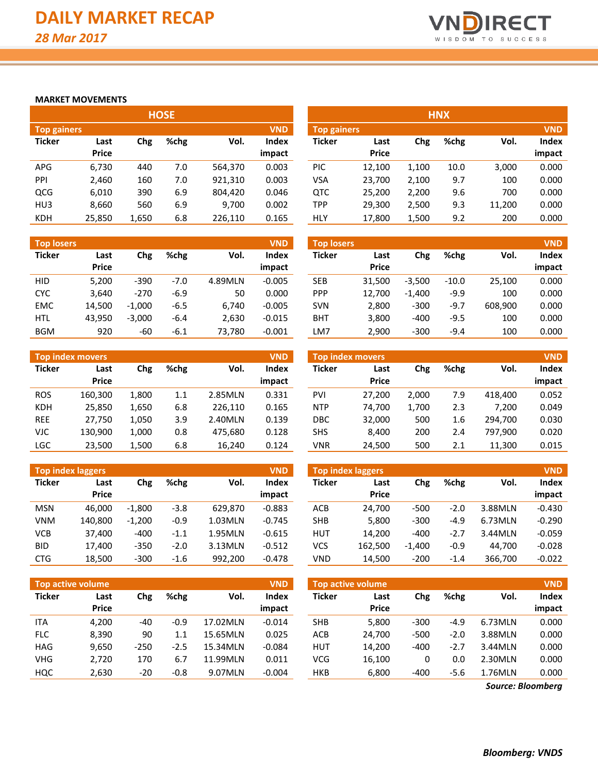

# **MARKET MOVEMENTS**

| <b>HOSE</b>        |              |       |         |         |            |                    |              |       | <b>HNX</b> |        |            |
|--------------------|--------------|-------|---------|---------|------------|--------------------|--------------|-------|------------|--------|------------|
| <b>Top gainers</b> |              |       |         |         | <b>VND</b> | <b>Top gainers</b> |              |       |            |        | <b>VND</b> |
| <b>Ticker</b>      | Last         | Chg   | $%$ chg | Vol.    | Index      | <b>Ticker</b>      | Last         | Chg   | %chg       | Vol.   | Index      |
|                    | <b>Price</b> |       |         |         | impact     |                    | <b>Price</b> |       |            |        | impact     |
| <b>APG</b>         | 6,730        | 440   | 7.0     | 564,370 | 0.003      | PIC                | 12.100       | 1.100 | 10.0       | 3,000  | 0.000      |
| PPI                | 2,460        | 160   | 7.0     | 921,310 | 0.003      | VSA                | 23,700       | 2,100 | 9.7        | 100    | 0.000      |
| QCG                | 6,010        | 390   | 6.9     | 804,420 | 0.046      | QTC                | 25,200       | 2,200 | 9.6        | 700    | 0.000      |
| HU3                | 8,660        | 560   | 6.9     | 9,700   | 0.002      | TPP                | 29,300       | 2,500 | 9.3        | 11,200 | 0.000      |
| <b>KDH</b>         | 25,850       | 1,650 | 6.8     | 226,110 | 0.165      | HLY                | 17,800       | 1,500 | 9.2        | 200    | 0.000      |

| <b>Top losers</b> |                      |          |        |         | <b>VND</b>      | <b>Top losers</b> |                      |          |         |         | <b>VND</b>      |
|-------------------|----------------------|----------|--------|---------|-----------------|-------------------|----------------------|----------|---------|---------|-----------------|
| <b>Ticker</b>     | Last<br><b>Price</b> | Chg      | %chg   | Vol.    | Index<br>impact | Ticker            | Last<br><b>Price</b> | Chg      | %chg    | Vol.    | Index<br>impact |
| <b>HID</b>        | 5,200                | $-390$   | $-7.0$ | 4.89MLN | $-0.005$        | <b>SEB</b>        | 31.500               | $-3,500$ | $-10.0$ | 25,100  | 0.000           |
| <b>CYC</b>        | 3.640                | $-270$   | $-6.9$ | 50      | 0.000           | <b>PPP</b>        | 12.700               | $-1.400$ | $-9.9$  | 100     | 0.000           |
| <b>EMC</b>        | 14.500               | $-1.000$ | $-6.5$ | 6.740   | $-0.005$        | <b>SVN</b>        | 2,800                | $-300$   | -9.7    | 608,900 | 0.000           |
| <b>HTL</b>        | 43.950               | $-3.000$ | $-6.4$ | 2.630   | $-0.015$        | BHT               | 3,800                | $-400$   | $-9.5$  | 100     | 0.000           |
| <b>BGM</b>        | 920                  | -60      | $-6.1$ | 73.780  | $-0.001$        | LM7               | 2.900                | $-300$   | $-9.4$  | 100     | 0.000           |

|               | <b>Top index movers</b> |       |      |         | <b>VND</b>   |               | <b>Top index movers</b> |       |      |         | <b>VND</b> |
|---------------|-------------------------|-------|------|---------|--------------|---------------|-------------------------|-------|------|---------|------------|
| <b>Ticker</b> | Last                    | Chg   | %chg | Vol.    | <b>Index</b> | <b>Ticker</b> | Last                    | Chg   | %chg | Vol.    | Index      |
|               | <b>Price</b>            |       |      |         | impact       |               | <b>Price</b>            |       |      |         | impact     |
| <b>ROS</b>    | 160.300                 | 1,800 | 1.1  | 2.85MLN | 0.331        | PVI           | 27.200                  | 2.000 | 7.9  | 418.400 | 0.052      |
| <b>KDH</b>    | 25,850                  | 1,650 | 6.8  | 226.110 | 0.165        | <b>NTP</b>    | 74.700                  | 1.700 | 2.3  | 7.200   | 0.049      |
| <b>REE</b>    | 27.750                  | 1.050 | 3.9  | 2.40MLN | 0.139        | DBC           | 32,000                  | 500   | 1.6  | 294.700 | 0.030      |
| VJC           | 130.900                 | 1,000 | 0.8  | 475.680 | 0.128        | <b>SHS</b>    | 8,400                   | 200   | 2.4  | 797.900 | 0.020      |
| <b>LGC</b>    | 23,500                  | 1,500 | 6.8  | 16,240  | 0.124        | VNR           | 24,500                  | 500   | 2.1  | 11,300  | 0.015      |

|               | Top index laggers |          |        |         | <b>VND</b>      |               | Top index laggers    |          |        |         | <b>VND</b>      |
|---------------|-------------------|----------|--------|---------|-----------------|---------------|----------------------|----------|--------|---------|-----------------|
| <b>Ticker</b> | Last<br>Price     | Chg      | %chg   | Vol.    | Index<br>impact | <b>Ticker</b> | Last<br><b>Price</b> | Chg      | %chg   | Vol.    | Index<br>impact |
| <b>MSN</b>    | 46.000            | $-1.800$ | $-3.8$ | 629.870 | $-0.883$        | ACB           | 24.700               | $-500$   | $-2.0$ | 3.88MLN | $-0.430$        |
| <b>VNM</b>    | 140.800           | $-1.200$ | $-0.9$ | 1.03MLN | $-0.745$        | <b>SHB</b>    | 5,800                | $-300$   | -4.9   | 6.73MLN | $-0.290$        |
| <b>VCB</b>    | 37.400            | $-400$   | -1.1   | 1.95MLN | $-0.615$        | <b>HUT</b>    | 14.200               | $-400$   | $-2.7$ | 3.44MLN | $-0.059$        |
| <b>BID</b>    | 17,400            | $-350$   | $-2.0$ | 3.13MLN | $-0.512$        | VCS           | 162.500              | $-1.400$ | $-0.9$ | 44.700  | $-0.028$        |
| <b>CTG</b>    | 18,500            | $-300$   | $-1.6$ | 992,200 | $-0.478$        | <b>VND</b>    | 14,500               | $-200$   | $-1.4$ | 366,700 | $-0.022$        |

| Top active volume |                      |        |         |          | <b>VND</b>      |               | <b>Top active volume</b> |        |        |         | <b>VND</b>      |
|-------------------|----------------------|--------|---------|----------|-----------------|---------------|--------------------------|--------|--------|---------|-----------------|
| <b>Ticker</b>     | Last<br><b>Price</b> | Chg    | %chg    | Vol.     | Index<br>impact | <b>Ticker</b> | Last<br><b>Price</b>     | Chg    | %chg   | Vol.    | Index<br>impact |
| <b>ITA</b>        | 4.200                | -40    | $-0.9$  | 17.02MLN | $-0.014$        | <b>SHB</b>    | 5,800                    | $-300$ | -4.9   | 6.73MLN | 0.000           |
| <b>FLC</b>        | 8,390                | 90     | $1.1\,$ | 15.65MLN | 0.025           | ACB           | 24,700                   | $-500$ | $-2.0$ | 3.88MLN | 0.000           |
| <b>HAG</b>        | 9.650                | $-250$ | $-2.5$  | 15.34MLN | $-0.084$        | <b>HUT</b>    | 14.200                   | $-400$ | $-2.7$ | 3.44MLN | 0.000           |
| <b>VHG</b>        | 2,720                | 170    | 6.7     | 11.99MLN | 0.011           | <b>VCG</b>    | 16,100                   | 0      | 0.0    | 2.30MLN | 0.000           |
| HQC               | 2,630                | $-20$  | $-0.8$  | 9.07MLN  | $-0.004$        | <b>HKB</b>    | 6,800                    | $-400$ | $-5.6$ | 1.76MLN | 0.000           |

|                    | <b>HNX</b> |       |      |        |        |  |  |  |  |  |
|--------------------|------------|-------|------|--------|--------|--|--|--|--|--|
| <b>Top gainers</b> |            |       |      |        |        |  |  |  |  |  |
| <b>Ticker</b>      | Last       | Chg   | %chg | Vol.   | Index  |  |  |  |  |  |
|                    | Price      |       |      |        | impact |  |  |  |  |  |
| PIC                | 12,100     | 1,100 | 10.0 | 3,000  | 0.000  |  |  |  |  |  |
| VSA                | 23,700     | 2,100 | 9.7  | 100    | 0.000  |  |  |  |  |  |
| <b>QTC</b>         | 25,200     | 2,200 | 9.6  | 700    | 0.000  |  |  |  |  |  |
| <b>TPP</b>         | 29,300     | 2,500 | 9.3  | 11,200 | 0.000  |  |  |  |  |  |
| HLY                | 17,800     | 1,500 | 9.2  | 200    | 0.000  |  |  |  |  |  |

| <b>Top losers</b> |              |          |         |         | <b>VND</b> |
|-------------------|--------------|----------|---------|---------|------------|
| <b>Ticker</b>     | Last         | Chg      | %chg    | Vol.    | Index      |
|                   | <b>Price</b> |          |         |         | impact     |
| <b>SEB</b>        | 31,500       | $-3,500$ | $-10.0$ | 25,100  | 0.000      |
| <b>PPP</b>        | 12,700       | $-1,400$ | $-9.9$  | 100     | 0.000      |
| <b>SVN</b>        | 2,800        | $-300$   | $-9.7$  | 608,900 | 0.000      |
| BHT               | 3,800        | $-400$   | $-9.5$  | 100     | 0.000      |
| LM7               | 2,900        | $-300$   | $-9.4$  | 100     | 0.000      |

| <b>Top index movers</b> |        |       |      |         |        |  |  |  |  |  |
|-------------------------|--------|-------|------|---------|--------|--|--|--|--|--|
| <b>Ticker</b>           | Last   | Chg   | %chg | Vol.    | Index  |  |  |  |  |  |
|                         | Price  |       |      |         | impact |  |  |  |  |  |
| <b>PVI</b>              | 27,200 | 2,000 | 7.9  | 418,400 | 0.052  |  |  |  |  |  |
| <b>NTP</b>              | 74,700 | 1,700 | 2.3  | 7,200   | 0.049  |  |  |  |  |  |
| <b>DBC</b>              | 32,000 | 500   | 1.6  | 294.700 | 0.030  |  |  |  |  |  |
| <b>SHS</b>              | 8,400  | 200   | 2.4  | 797,900 | 0.020  |  |  |  |  |  |
| VNR                     | 24,500 | 500   | 2.1  | 11,300  | 0.015  |  |  |  |  |  |

| <b>Top index laggers</b> |         |          |        |         |          |  |  |  |  |  |  |  |  |
|--------------------------|---------|----------|--------|---------|----------|--|--|--|--|--|--|--|--|
| <b>Ticker</b>            | Last    | Chg      | %chg   | Vol.    | Index    |  |  |  |  |  |  |  |  |
|                          | Price   |          |        |         | impact   |  |  |  |  |  |  |  |  |
| ACB                      | 24,700  | -500     | $-2.0$ | 3.88MLN | $-0.430$ |  |  |  |  |  |  |  |  |
| SHB                      | 5,800   | $-300$   | $-4.9$ | 6.73MLN | $-0.290$ |  |  |  |  |  |  |  |  |
| HUT                      | 14.200  | $-400$   | $-2.7$ | 3.44MLN | $-0.059$ |  |  |  |  |  |  |  |  |
| VCS                      | 162,500 | $-1,400$ | $-0.9$ | 44.700  | $-0.028$ |  |  |  |  |  |  |  |  |
| VND                      | 14,500  | $-200$   | $-1.4$ | 366,700 | $-0.022$ |  |  |  |  |  |  |  |  |

| <b>Top active volume</b><br><b>VND</b> |              |        |        |         |              |  |  |  |  |  |  |  |  |  |
|----------------------------------------|--------------|--------|--------|---------|--------------|--|--|--|--|--|--|--|--|--|
| <b>Ticker</b>                          | Last         | Chg    | %chg   | Vol.    | <b>Index</b> |  |  |  |  |  |  |  |  |  |
|                                        | <b>Price</b> |        |        |         | impact       |  |  |  |  |  |  |  |  |  |
| <b>SHB</b>                             | 5,800        | $-300$ | $-4.9$ | 6.73MLN | 0.000        |  |  |  |  |  |  |  |  |  |
| <b>ACB</b>                             | 24,700       | $-500$ | $-2.0$ | 3.88MLN | 0.000        |  |  |  |  |  |  |  |  |  |
| <b>HUT</b>                             | 14.200       | $-400$ | $-2.7$ | 3.44MLN | 0.000        |  |  |  |  |  |  |  |  |  |
| VCG                                    | 16,100       | 0      | 0.0    | 2.30MLN | 0.000        |  |  |  |  |  |  |  |  |  |
| <b>HKB</b>                             | 6,800        | -400   | $-5.6$ | 1.76MLN | 0.000        |  |  |  |  |  |  |  |  |  |

*Source: Bloomberg*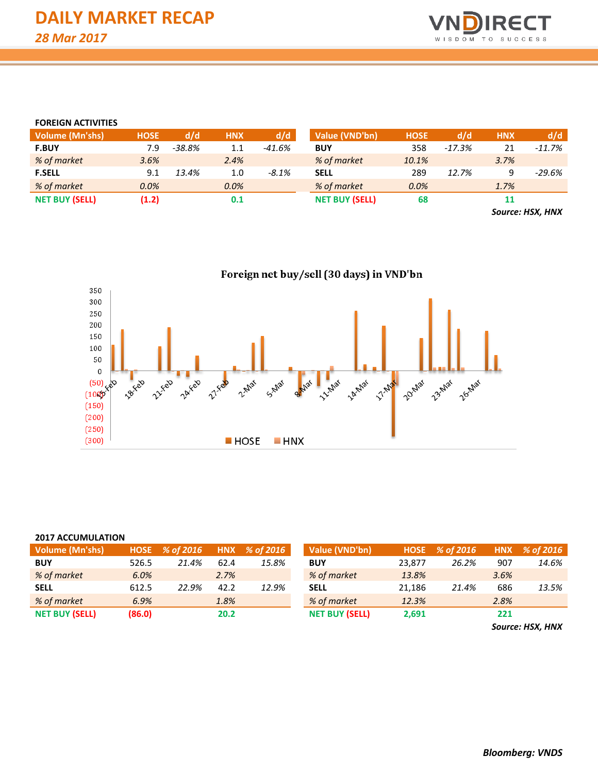

# **FOREIGN ACTIVITIES**

| <b>Volume (Mn'shs)</b> | <b>HOSE</b> | d/d      | <b>HNX</b> | d/d      | Value (VND'bn)        | <b>HOSE</b> | d/d      | <b>HNX</b>               | d/d      |
|------------------------|-------------|----------|------------|----------|-----------------------|-------------|----------|--------------------------|----------|
| <b>F.BUY</b>           | 7.9         | $-38.8%$ | 1.1        | -41.6%   | <b>BUY</b>            | 358         | $-17.3%$ | 21                       | $-11.7%$ |
| % of market            | 3.6%        |          | 2.4%       |          | % of market           | 10.1%       |          | 3.7%                     |          |
| <b>F.SELL</b>          | 9.1         | 13.4%    | 1.0        | $-8.1\%$ | <b>SELL</b>           | 289         | 12.7%    |                          | $-29.6%$ |
| % of market            | 0.0%        |          | 0.0%       |          | % of market           | 0.0%        |          | 1.7%                     |          |
| <b>NET BUY (SELL)</b>  | (1.2)       |          | 0.1        |          | <b>NET BUY (SELL)</b> | 68          |          | 11                       |          |
|                        |             |          |            |          |                       |             |          | $\overline{\phantom{a}}$ |          |

*Source: HSX, HNX*

Foreign net buy/sell (30 days) in VND'bn 350 300 250 200 150 100 50  $\pmb{0}$ BAIRY I Luther 11 May 20 May 23 May 26 May **Haskep** 21-Feb **Allan** 24xxeb **A** FED 2-Max S-Max 27- Feb  $(50)$  $(100)$  $(150)$  $(200)$  $(250)$  $(300)$ **HOSE**  $HNX$ 

# **2017 ACCUMULATION**

| Volume (Mn'shs)       |        | HOSE % of 2016 |      | HNX % of 2016 | Value (VND'bn)        | <b>HOSE</b> | % of 2016 |      | HNX % of 2016 |
|-----------------------|--------|----------------|------|---------------|-----------------------|-------------|-----------|------|---------------|
| <b>BUY</b>            | 526.5  | 21.4%          | 62.4 | 15.8%         | <b>BUY</b>            | 23.877      | 26.2%     | 907  | 14.6%         |
| % of market           | 6.0%   |                | 2.7% |               | % of market           | 13.8%       |           | 3.6% |               |
| <b>SELL</b>           | 612.5  | 22.9%          | 42.2 | 12.9%         | <b>SELL</b>           | 21.186      | 21.4%     | 686  | 13.5%         |
| % of market           | 6.9%   |                | 1.8% |               | % of market           | 12.3%       |           | 2.8% |               |
| <b>NET BUY (SELL)</b> | (86.0) |                | 20.2 |               | <b>NET BUY (SELL)</b> | 2,691       |           | 221  |               |

*Source: HSX, HNX*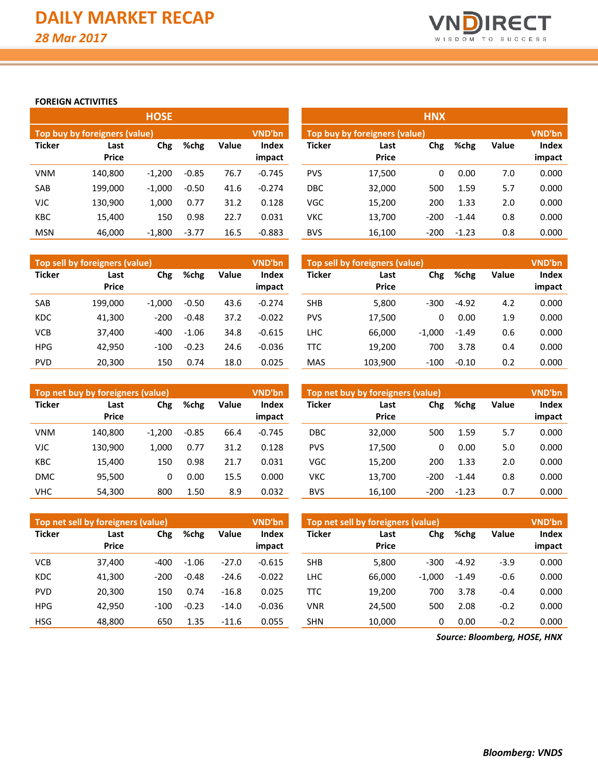

# **FOREIGN ACTIVITIES**

|               |                               | <b>HOSE</b> |         |       |                        | <b>HNX</b>    |                                         |        |         |              |                 |  |  |
|---------------|-------------------------------|-------------|---------|-------|------------------------|---------------|-----------------------------------------|--------|---------|--------------|-----------------|--|--|
|               | Top buy by foreigners (value) |             |         |       | <b>VND'bn</b>          |               | VND'bn<br>Top buy by foreigners (value) |        |         |              |                 |  |  |
| <b>Ticker</b> | Last<br><b>Price</b>          | Chg         | %chg    | Value | <b>Index</b><br>impact | <b>Ticker</b> | Last<br><b>Price</b>                    | Chg    | %chg    | <b>Value</b> | Index<br>impact |  |  |
| <b>VNM</b>    | 140,800                       | $-1.200$    | $-0.85$ | 76.7  | $-0.745$               | <b>PVS</b>    | 17,500                                  | 0      | 0.00    | 7.0          | 0.000           |  |  |
| <b>SAB</b>    | 199,000                       | $-1.000$    | $-0.50$ | 41.6  | $-0.274$               | <b>DBC</b>    | 32,000                                  | 500    | 1.59    | 5.7          | 0.000           |  |  |
| <b>VJC</b>    | 130,900                       | 1,000       | 0.77    | 31.2  | 0.128                  | <b>VGC</b>    | 15,200                                  | 200    | 1.33    | 2.0          | 0.000           |  |  |
| <b>KBC</b>    | 15,400                        | 150         | 0.98    | 22.7  | 0.031                  | νкс           | 13,700                                  | $-200$ | $-1.44$ | 0.8          | 0.000           |  |  |
| <b>MSN</b>    | 46.000                        | $-1,800$    | $-3.77$ | 16.5  | $-0.883$               | <b>BVS</b>    | 16,100                                  | $-200$ | $-1.23$ | 0.8          | 0.000           |  |  |

|               | Top sell by foreigners (value) |          |         |       | VND'bn          | Top sell by foreigners (value) |                      |          |         |              |                 |
|---------------|--------------------------------|----------|---------|-------|-----------------|--------------------------------|----------------------|----------|---------|--------------|-----------------|
| <b>Ticker</b> | Last<br><b>Price</b>           | Chg      | %chg    | Value | Index<br>impact | <b>Ticker</b>                  | Last<br><b>Price</b> | Chg      | %chg    | <b>Value</b> | Index<br>impact |
| SAB           | 199,000                        | $-1.000$ | $-0.50$ | 43.6  | $-0.274$        | <b>SHB</b>                     | 5,800                | $-300$   | $-4.92$ | 4.2          | 0.000           |
| <b>KDC</b>    | 41.300                         | $-200$   | $-0.48$ | 37.2  | $-0.022$        | <b>PVS</b>                     | 17.500               | 0        | 0.00    | 1.9          | 0.000           |
| <b>VCB</b>    | 37.400                         | -400     | $-1.06$ | 34.8  | $-0.615$        | LHC                            | 66,000               | $-1.000$ | $-1.49$ | 0.6          | 0.000           |
| <b>HPG</b>    | 42.950                         | $-100$   | $-0.23$ | 24.6  | $-0.036$        | TTC                            | 19.200               | 700      | 3.78    | 0.4          | 0.000           |
| <b>PVD</b>    | 20.300                         | 150      | 0.74    | 18.0  | 0.025           | <b>MAS</b>                     | 103.900              | $-100$   | $-0.10$ | 0.2          | 0.000           |

|               | Top net buy by foreigners (value) |          |         |       | <b>VND'bn</b>   | Top net buy by foreigners (value) | <b>VND'bn</b>        |        |         |              |                 |
|---------------|-----------------------------------|----------|---------|-------|-----------------|-----------------------------------|----------------------|--------|---------|--------------|-----------------|
| <b>Ticker</b> | Last<br><b>Price</b>              | Chg      | %chg    | Value | Index<br>impact | <b>Ticker</b>                     | Last<br><b>Price</b> | Chg    | %chg    | <b>Value</b> | Index<br>impact |
| <b>VNM</b>    | 140.800                           | $-1.200$ | $-0.85$ | 66.4  | $-0.745$        | <b>DBC</b>                        | 32.000               | 500    | 1.59    | 5.7          | 0.000           |
| <b>VJC</b>    | 130.900                           | 1.000    | 0.77    | 31.2  | 0.128           | <b>PVS</b>                        | 17.500               | 0      | 0.00    | 5.0          | 0.000           |
| <b>KBC</b>    | 15,400                            | 150      | 0.98    | 21.7  | 0.031           | <b>VGC</b>                        | 15,200               | 200    | 1.33    | 2.0          | 0.000           |
| <b>DMC</b>    | 95,500                            | 0        | 0.00    | 15.5  | 0.000           | νкс                               | 13,700               | $-200$ | $-1.44$ | 0.8          | 0.000           |
| <b>VHC</b>    | 54,300                            | 800      | 1.50    | 8.9   | 0.032           | <b>BVS</b>                        | 16,100               | $-200$ | $-1.23$ | 0.7          | 0.000           |

|               | Top net sell by foreigners (value) |        |         |         | <b>VND'bn</b>   |               | Top net sell by foreigners (value) |          |         |              |                 |  |  |
|---------------|------------------------------------|--------|---------|---------|-----------------|---------------|------------------------------------|----------|---------|--------------|-----------------|--|--|
| <b>Ticker</b> | Last<br><b>Price</b>               | Chg    | %chg    | Value   | Index<br>impact | <b>Ticker</b> | Last<br><b>Price</b>               | Chg      | %chg    | <b>Value</b> | Index<br>impact |  |  |
|               |                                    |        |         |         |                 |               |                                    |          |         |              |                 |  |  |
| <b>VCB</b>    | 37.400                             | -400   | $-1.06$ | $-27.0$ | $-0.615$        | <b>SHB</b>    | 5,800                              | $-300$   | $-4.92$ | $-3.9$       | 0.000           |  |  |
| <b>KDC</b>    | 41.300                             | $-200$ | $-0.48$ | $-24.6$ | $-0.022$        | LHC           | 66.000                             | $-1.000$ | $-1.49$ | $-0.6$       | 0.000           |  |  |
| <b>PVD</b>    | 20,300                             | 150    | 0.74    | $-16.8$ | 0.025           | TTC           | 19,200                             | 700      | 3.78    | $-0.4$       | 0.000           |  |  |
| <b>HPG</b>    | 42.950                             | $-100$ | $-0.23$ | $-14.0$ | $-0.036$        | VNR           | 24.500                             | 500      | 2.08    | $-0.2$       | 0.000           |  |  |
| <b>HSG</b>    | 48,800                             | 650    | 1.35    | $-11.6$ | 0.055           | SHN           | 10,000                             | 0        | 0.00    | $-0.2$       | 0.000           |  |  |

*Source: Bloomberg, HOSE, HNX*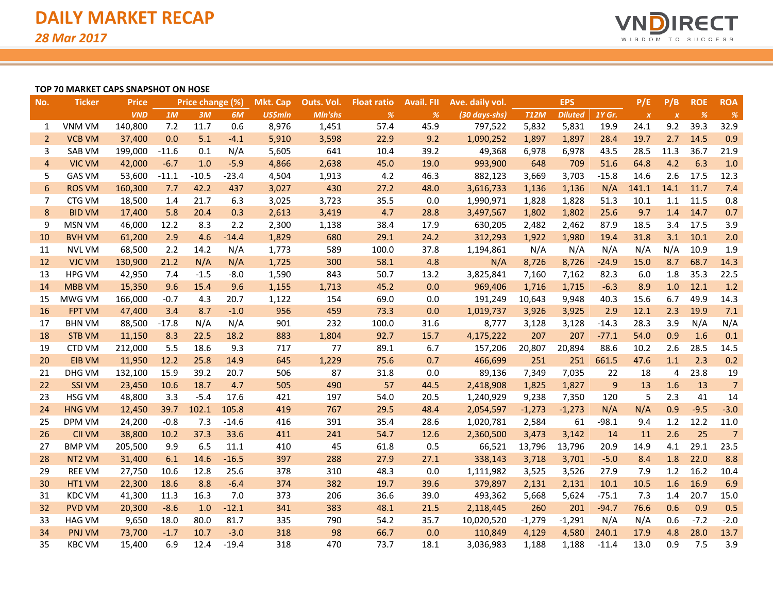

# **TOP 70 MARKET CAPS SNAPSHOT ON HOSE**

| No.            | <b>Ticker</b>      | <b>Price</b> |         | Price change (%) |         | Mkt. Cap       | Outs. Vol. | <b>Float ratio</b> | <b>Avail. FII</b> | Ave. daily vol. |             | <b>EPS</b>     |                | P/E              | P/B              | <b>ROE</b> | <b>ROA</b>     |
|----------------|--------------------|--------------|---------|------------------|---------|----------------|------------|--------------------|-------------------|-----------------|-------------|----------------|----------------|------------------|------------------|------------|----------------|
|                |                    | <b>VND</b>   | 1M      | 3M               | 6M      | <b>US\$mln</b> | Mln'shs    | %                  | %                 | (30 days-shs)   | <b>T12M</b> | <b>Diluted</b> | 1Y Gr.         | $\boldsymbol{X}$ | $\boldsymbol{x}$ | %          | $\frac{9}{6}$  |
| 1              | <b>VNM VM</b>      | 140,800      | 7.2     | 11.7             | 0.6     | 8,976          | 1,451      | 57.4               | 45.9              | 797,522         | 5,832       | 5,831          | 19.9           | 24.1             | 9.2              | 39.3       | 32.9           |
| $\overline{2}$ | <b>VCB VM</b>      | 37,400       | 0.0     | 5.1              | $-4.1$  | 5,910          | 3,598      | 22.9               | 9.2               | 1,090,252       | 1,897       | 1,897          | 28.4           | 19.7             | 2.7              | 14.5       | 0.9            |
| 3              | <b>SAB VM</b>      | 199,000      | $-11.6$ | 0.1              | N/A     | 5,605          | 641        | 10.4               | 39.2              | 49,368          | 6,978       | 6,978          | 43.5           | 28.5             | 11.3             | 36.7       | 21.9           |
| $\overline{4}$ | <b>VIC VM</b>      | 42,000       | $-6.7$  | 1.0              | $-5.9$  | 4,866          | 2,638      | 45.0               | 19.0              | 993,900         | 648         | 709            | 51.6           | 64.8             | 4.2              | 6.3        | 1.0            |
| 5              | <b>GAS VM</b>      | 53,600       | $-11.1$ | $-10.5$          | $-23.4$ | 4,504          | 1,913      | 4.2                | 46.3              | 882,123         | 3,669       | 3,703          | $-15.8$        | 14.6             | 2.6              | 17.5       | 12.3           |
| 6              | <b>ROS VM</b>      | 160,300      | 7.7     | 42.2             | 437     | 3,027          | 430        | 27.2               | 48.0              | 3,616,733       | 1,136       | 1,136          | N/A            | 141.1            | 14.1             | 11.7       | 7.4            |
| $\overline{7}$ | CTG VM             | 18,500       | 1.4     | 21.7             | 6.3     | 3,025          | 3,723      | 35.5               | 0.0               | 1,990,971       | 1,828       | 1,828          | 51.3           | 10.1             | 1.1              | 11.5       | 0.8            |
| 8              | <b>BID VM</b>      | 17,400       | 5.8     | 20.4             | 0.3     | 2,613          | 3,419      | 4.7                | 28.8              | 3,497,567       | 1,802       | 1,802          | 25.6           | 9.7              | 1.4              | 14.7       | 0.7            |
| 9              | <b>MSN VM</b>      | 46,000       | 12.2    | 8.3              | 2.2     | 2,300          | 1,138      | 38.4               | 17.9              | 630,205         | 2,482       | 2,462          | 87.9           | 18.5             | 3.4              | 17.5       | 3.9            |
| 10             | <b>BVH VM</b>      | 61,200       | 2.9     | 4.6              | $-14.4$ | 1,829          | 680        | 29.1               | 24.2              | 312,293         | 1,922       | 1,980          | 19.4           | 31.8             | 3.1              | 10.1       | 2.0            |
| 11             | <b>NVL VM</b>      | 68,500       | 2.2     | 14.2             | N/A     | 1,773          | 589        | 100.0              | 37.8              | 1,194,861       | N/A         | N/A            | N/A            | N/A              | N/A              | 10.9       | 1.9            |
| 12             | <b>VJC VM</b>      | 130,900      | 21.2    | N/A              | N/A     | 1,725          | 300        | 58.1               | 4.8               | N/A             | 8,726       | 8,726          | $-24.9$        | 15.0             | 8.7              | 68.7       | 14.3           |
| 13             | <b>HPG VM</b>      | 42,950       | 7.4     | $-1.5$           | $-8.0$  | 1,590          | 843        | 50.7               | 13.2              | 3,825,841       | 7,160       | 7,162          | 82.3           | 6.0              | 1.8              | 35.3       | 22.5           |
| 14             | <b>MBB VM</b>      | 15,350       | 9.6     | 15.4             | 9.6     | 1,155          | 1,713      | 45.2               | 0.0               | 969,406         | 1,716       | 1,715          | $-6.3$         | 8.9              | 1.0              | 12.1       | 1.2            |
| 15             | MWG VM             | 166,000      | $-0.7$  | 4.3              | 20.7    | 1,122          | 154        | 69.0               | 0.0               | 191,249         | 10,643      | 9,948          | 40.3           | 15.6             | 6.7              | 49.9       | 14.3           |
| 16             | <b>FPT VM</b>      | 47,400       | 3.4     | 8.7              | $-1.0$  | 956            | 459        | 73.3               | 0.0               | 1,019,737       | 3,926       | 3,925          | 2.9            | 12.1             | 2.3              | 19.9       | 7.1            |
| 17             | <b>BHN VM</b>      | 88,500       | $-17.8$ | N/A              | N/A     | 901            | 232        | 100.0              | 31.6              | 8,777           | 3,128       | 3,128          | $-14.3$        | 28.3             | 3.9              | N/A        | N/A            |
| 18             | <b>STB VM</b>      | 11,150       | 8.3     | 22.5             | 18.2    | 883            | 1,804      | 92.7               | 15.7              | 4,175,222       | 207         | 207            | $-77.1$        | 54.0             | 0.9              | 1.6        | 0.1            |
| 19             | <b>CTD VM</b>      | 212,000      | 5.5     | 18.6             | 9.3     | 717            | 77         | 89.1               | 6.7               | 157,206         | 20,807      | 20,894         | 88.6           | 10.2             | 2.6              | 28.5       | 14.5           |
| 20             | <b>EIB VM</b>      | 11,950       | 12.2    | 25.8             | 14.9    | 645            | 1,229      | 75.6               | 0.7               | 466,699         | 251         | 251            | 661.5          | 47.6             | 1.1              | 2.3        | 0.2            |
| 21             | DHG VM             | 132,100      | 15.9    | 39.2             | 20.7    | 506            | 87         | 31.8               | 0.0               | 89,136          | 7,349       | 7,035          | 22             | 18               | 4                | 23.8       | 19             |
| 22             | <b>SSI VM</b>      | 23,450       | 10.6    | 18.7             | 4.7     | 505            | 490        | 57                 | 44.5              | 2,418,908       | 1,825       | 1,827          | $\overline{9}$ | 13               | 1.6              | 13         | $\overline{7}$ |
| 23             | <b>HSG VM</b>      | 48,800       | 3.3     | $-5.4$           | 17.6    | 421            | 197        | 54.0               | 20.5              | 1,240,929       | 9,238       | 7,350          | 120            | 5                | 2.3              | 41         | 14             |
| 24             | <b>HNG VM</b>      | 12,450       | 39.7    | 102.1            | 105.8   | 419            | 767        | 29.5               | 48.4              | 2,054,597       | $-1,273$    | $-1,273$       | N/A            | N/A              | 0.9              | $-9.5$     | $-3.0$         |
| 25             | DPM VM             | 24,200       | $-0.8$  | 7.3              | $-14.6$ | 416            | 391        | 35.4               | 28.6              | 1,020,781       | 2,584       | 61             | $-98.1$        | 9.4              | 1.2              | 12.2       | 11.0           |
| 26             | <b>CII VM</b>      | 38,800       | 10.2    | 37.3             | 33.6    | 411            | 241        | 54.7               | 12.6              | 2,360,500       | 3,473       | 3,142          | 14             | 11               | 2.6              | 25         | $\overline{7}$ |
| 27             | <b>BMP VM</b>      | 205,500      | 9.9     | 6.5              | 11.1    | 410            | 45         | 61.8               | 0.5               | 66,521          | 13,796      | 13,796         | 20.9           | 14.9             | 4.1              | 29.1       | 23.5           |
| 28             | NT <sub>2</sub> VM | 31,400       | 6.1     | 14.6             | $-16.5$ | 397            | 288        | 27.9               | 27.1              | 338,143         | 3,718       | 3,701          | $-5.0$         | 8.4              | 1.8              | 22.0       | 8.8            |
| 29             | <b>REE VM</b>      | 27,750       | 10.6    | 12.8             | 25.6    | 378            | 310        | 48.3               | 0.0               | 1,111,982       | 3,525       | 3,526          | 27.9           | 7.9              | 1.2              | 16.2       | 10.4           |
| 30             | HT1 VM             | 22,300       | 18.6    | 8.8              | $-6.4$  | 374            | 382        | 19.7               | 39.6              | 379,897         | 2,131       | 2,131          | 10.1           | 10.5             | 1.6              | 16.9       | 6.9            |
| 31             | <b>KDC VM</b>      | 41,300       | 11.3    | 16.3             | 7.0     | 373            | 206        | 36.6               | 39.0              | 493,362         | 5,668       | 5,624          | $-75.1$        | 7.3              | 1.4              | 20.7       | 15.0           |
| 32             | <b>PVD VM</b>      | 20,300       | $-8.6$  | 1.0              | $-12.1$ | 341            | 383        | 48.1               | 21.5              | 2,118,445       | 260         | 201            | $-94.7$        | 76.6             | 0.6              | 0.9        | 0.5            |
| 33             | <b>HAG VM</b>      | 9,650        | 18.0    | 80.0             | 81.7    | 335            | 790        | 54.2               | 35.7              | 10,020,520      | $-1,279$    | $-1,291$       | N/A            | N/A              | 0.6              | $-7.2$     | $-2.0$         |
| 34             | <b>PNJ VM</b>      | 73,700       | $-1.7$  | 10.7             | $-3.0$  | 318            | 98         | 66.7               | 0.0               | 110,849         | 4,129       | 4,580          | 240.1          | 17.9             | 4.8              | 28.0       | 13.7           |
| 35             | <b>KBC VM</b>      | 15,400       | 6.9     | 12.4             | $-19.4$ | 318            | 470        | 73.7               | 18.1              | 3,036,983       | 1,188       | 1,188          | $-11.4$        | 13.0             | 0.9              | 7.5        | 3.9            |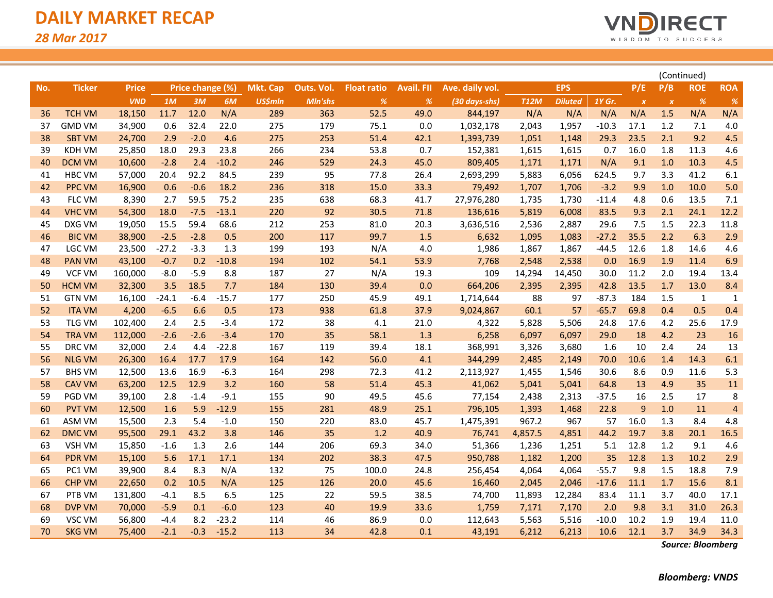

|     |               |              |         |                  |         |                 |            |                    |                   |                 |             |                | (Continued) |                  |                  |              |                |
|-----|---------------|--------------|---------|------------------|---------|-----------------|------------|--------------------|-------------------|-----------------|-------------|----------------|-------------|------------------|------------------|--------------|----------------|
| No. | <b>Ticker</b> | <b>Price</b> |         | Price change (%) |         | <b>Mkt. Cap</b> | Outs. Vol. | <b>Float ratio</b> | <b>Avail. FII</b> | Ave. daily vol. |             | <b>EPS</b>     |             | P/E              | P/B              | <b>ROE</b>   | <b>ROA</b>     |
|     |               | <b>VND</b>   | 1M      | 3M               | 6M      | <b>US\$mln</b>  | Mln'shs    | %                  | %                 | (30 days-shs)   | <b>T12M</b> | <b>Diluted</b> | 1Y Gr.      | $\boldsymbol{x}$ | $\boldsymbol{X}$ | %            | %              |
| 36  | <b>TCH VM</b> | 18,150       | 11.7    | 12.0             | N/A     | 289             | 363        | 52.5               | 49.0              | 844,197         | N/A         | N/A            | N/A         | N/A              | 1.5              | N/A          | N/A            |
| 37  | <b>GMD VM</b> | 34,900       | 0.6     | 32.4             | 22.0    | 275             | 179        | 75.1               | 0.0               | 1,032,178       | 2,043       | 1,957          | $-10.3$     | 17.1             | 1.2              | 7.1          | 4.0            |
| 38  | <b>SBT VM</b> | 24,700       | 2.9     | $-2.0$           | 4.6     | 275             | 253        | 51.4               | 42.1              | 1,393,739       | 1,051       | 1,148          | 29.3        | 23.5             | 2.1              | 9.2          | 4.5            |
| 39  | <b>KDH VM</b> | 25,850       | 18.0    | 29.3             | 23.8    | 266             | 234        | 53.8               | 0.7               | 152,381         | 1,615       | 1,615          | 0.7         | 16.0             | 1.8              | 11.3         | 4.6            |
| 40  | <b>DCM VM</b> | 10,600       | $-2.8$  | 2.4              | $-10.2$ | 246             | 529        | 24.3               | 45.0              | 809,405         | 1,171       | 1,171          | N/A         | 9.1              | 1.0              | 10.3         | 4.5            |
| 41  | <b>HBC VM</b> | 57,000       | 20.4    | 92.2             | 84.5    | 239             | 95         | 77.8               | 26.4              | 2,693,299       | 5,883       | 6,056          | 624.5       | 9.7              | 3.3              | 41.2         | 6.1            |
| 42  | <b>PPC VM</b> | 16,900       | 0.6     | $-0.6$           | 18.2    | 236             | 318        | 15.0               | 33.3              | 79,492          | 1,707       | 1,706          | $-3.2$      | 9.9              | 1.0              | 10.0         | 5.0            |
| 43  | <b>FLC VM</b> | 8,390        | 2.7     | 59.5             | 75.2    | 235             | 638        | 68.3               | 41.7              | 27,976,280      | 1,735       | 1,730          | $-11.4$     | 4.8              | 0.6              | 13.5         | 7.1            |
| 44  | <b>VHC VM</b> | 54,300       | 18.0    | $-7.5$           | $-13.1$ | 220             | 92         | 30.5               | 71.8              | 136,616         | 5,819       | 6,008          | 83.5        | 9.3              | 2.1              | 24.1         | 12.2           |
| 45  | DXG VM        | 19,050       | 15.5    | 59.4             | 68.6    | 212             | 253        | 81.0               | 20.3              | 3,636,516       | 2,536       | 2,887          | 29.6        | 7.5              | 1.5              | 22.3         | 11.8           |
| 46  | <b>BIC VM</b> | 38,900       | $-2.5$  | $-2.8$           | 0.5     | 200             | 117        | 99.7               | 1.5               | 6,632           | 1,095       | 1,083          | $-27.2$     | 35.5             | 2.2              | 6.3          | 2.9            |
| 47  | LGC VM        | 23,500       | $-27.2$ | $-3.3$           | 1.3     | 199             | 193        | N/A                | 4.0               | 1,986           | 1,867       | 1,867          | -44.5       | 12.6             | 1.8              | 14.6         | 4.6            |
| 48  | <b>PAN VM</b> | 43,100       | $-0.7$  | 0.2              | $-10.8$ | 194             | 102        | 54.1               | 53.9              | 7,768           | 2,548       | 2,538          | 0.0         | 16.9             | 1.9              | 11.4         | 6.9            |
| 49  | <b>VCF VM</b> | 160,000      | $-8.0$  | $-5.9$           | 8.8     | 187             | 27         | N/A                | 19.3              | 109             | 14,294      | 14,450         | 30.0        | 11.2             | 2.0              | 19.4         | 13.4           |
| 50  | <b>HCM VM</b> | 32,300       | 3.5     | 18.5             | 7.7     | 184             | 130        | 39.4               | 0.0               | 664,206         | 2,395       | 2,395          | 42.8        | 13.5             | 1.7              | 13.0         | 8.4            |
| 51  | <b>GTN VM</b> | 16,100       | $-24.1$ | $-6.4$           | $-15.7$ | 177             | 250        | 45.9               | 49.1              | 1,714,644       | 88          | 97             | $-87.3$     | 184              | 1.5              | $\mathbf{1}$ | 1              |
| 52  | <b>ITA VM</b> | 4,200        | $-6.5$  | 6.6              | 0.5     | 173             | 938        | 61.8               | 37.9              | 9,024,867       | 60.1        | 57             | $-65.7$     | 69.8             | 0.4              | 0.5          | 0.4            |
| 53  | TLG VM        | 102,400      | 2.4     | 2.5              | $-3.4$  | 172             | 38         | 4.1                | 21.0              | 4,322           | 5,828       | 5,506          | 24.8        | 17.6             | 4.2              | 25.6         | 17.9           |
| 54  | <b>TRA VM</b> | 112,000      | $-2.6$  | $-2.6$           | $-3.4$  | 170             | 35         | 58.1               | 1.3               | 6,258           | 6,097       | 6,097          | 29.0        | 18               | 4.2              | 23           | 16             |
| 55  | DRC VM        | 32,000       | 2.4     | 4.4              | $-22.8$ | 167             | 119        | 39.4               | 18.1              | 368,991         | 3,326       | 3,680          | 1.6         | 10               | 2.4              | 24           | 13             |
| 56  | <b>NLG VM</b> | 26,300       | 16.4    | 17.7             | 17.9    | 164             | 142        | 56.0               | 4.1               | 344,299         | 2,485       | 2,149          | 70.0        | 10.6             | 1.4              | 14.3         | 6.1            |
| 57  | <b>BHS VM</b> | 12,500       | 13.6    | 16.9             | $-6.3$  | 164             | 298        | 72.3               | 41.2              | 2,113,927       | 1,455       | 1,546          | 30.6        | 8.6              | 0.9              | 11.6         | 5.3            |
| 58  | <b>CAV VM</b> | 63,200       | 12.5    | 12.9             | 3.2     | 160             | 58         | 51.4               | 45.3              | 41,062          | 5,041       | 5,041          | 64.8        | 13               | 4.9              | 35           | 11             |
| 59  | PGD VM        | 39,100       | 2.8     | $-1.4$           | $-9.1$  | 155             | 90         | 49.5               | 45.6              | 77,154          | 2,438       | 2,313          | $-37.5$     | 16               | 2.5              | 17           | 8              |
| 60  | <b>PVT VM</b> | 12,500       | 1.6     | 5.9              | $-12.9$ | 155             | 281        | 48.9               | 25.1              | 796,105         | 1,393       | 1,468          | 22.8        | 9                | 1.0              | 11           | $\overline{4}$ |
| 61  | ASM VM        | 15,500       | 2.3     | 5.4              | $-1.0$  | 150             | 220        | 83.0               | 45.7              | 1,475,391       | 967.2       | 967            | 57          | 16.0             | 1.3              | 8.4          | 4.8            |
| 62  | <b>DMC VM</b> | 95,500       | 29.1    | 43.2             | 3.8     | 146             | 35         | 1.2                | 40.9              | 76,741          | 4,857.5     | 4,851          | 44.2        | 19.7             | 3.8              | 20.1         | 16.5           |
| 63  | <b>VSH VM</b> | 15,850       | $-1.6$  | 1.3              | 2.6     | 144             | 206        | 69.3               | 34.0              | 51,366          | 1,236       | 1,251          | 5.1         | 12.8             | 1.2              | 9.1          | 4.6            |
| 64  | <b>PDR VM</b> | 15,100       | 5.6     | 17.1             | 17.1    | 134             | 202        | 38.3               | 47.5              | 950,788         | 1,182       | 1,200          | 35          | 12.8             | 1.3              | 10.2         | 2.9            |
| 65  | PC1 VM        | 39,900       | 8.4     | 8.3              | N/A     | 132             | 75         | 100.0              | 24.8              | 256,454         | 4,064       | 4,064          | $-55.7$     | 9.8              | 1.5              | 18.8         | 7.9            |
| 66  | <b>CHP VM</b> | 22,650       | 0.2     | 10.5             | N/A     | 125             | 126        | 20.0               | 45.6              | 16,460          | 2,045       | 2,046          | $-17.6$     | 11.1             | 1.7              | 15.6         | 8.1            |
| 67  | PTB VM        | 131,800      | $-4.1$  | 8.5              | 6.5     | 125             | 22         | 59.5               | 38.5              | 74,700          | 11,893      | 12,284         | 83.4        | 11.1             | 3.7              | 40.0         | 17.1           |
| 68  | <b>DVP VM</b> | 70,000       | $-5.9$  | 0.1              | $-6.0$  | 123             | 40         | 19.9               | 33.6              | 1,759           | 7,171       | 7,170          | 2.0         | 9.8              | 3.1              | 31.0         | 26.3           |
| 69  | VSC VM        | 56,800       | $-4.4$  | 8.2              | $-23.2$ | 114             | 46         | 86.9               | 0.0               | 112,643         | 5,563       | 5,516          | $-10.0$     | 10.2             | 1.9              | 19.4         | 11.0           |
| 70  | <b>SKG VM</b> | 75,400       | $-2.1$  | $-0.3$           | $-15.2$ | 113             | 34         | 42.8               | 0.1               | 43,191          | 6,212       | 6,213          | 10.6        | 12.1             | 3.7              | 34.9         | 34.3           |

*Source: Bloomberg*